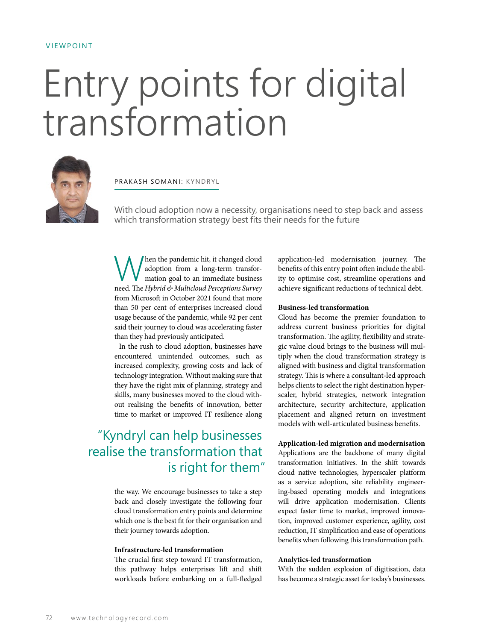## VIEWPOINT

# Entry points for digital transformation



# PRAKASH SOMANI: KYNDRYL

With cloud adoption now a necessity, organisations need to step back and assess which transformation strategy best fits their needs for the future

When the pandemic hit, it changed cloud adoption from a long-term transformation goal to an immediate business need. The *Hybrid & Multicloud Perceptions Survey* from Microsoft in October 2021 found that more than 50 per cent of enterprises increased cloud usage because of the pandemic, while 92 per cent said their journey to cloud was accelerating faster than they had previously anticipated.

In the rush to cloud adoption, businesses have encountered unintended outcomes, such as increased complexity, growing costs and lack of technology integration. Without making sure that they have the right mix of planning, strategy and skills, many businesses moved to the cloud without realising the benefits of innovation, better time to market or improved IT resilience along

# "Kyndryl can help businesses realise the transformation that is right for them"

the way. We encourage businesses to take a step back and closely investigate the following four cloud transformation entry points and determine which one is the best fit for their organisation and their journey towards adoption.

### **Infrastructure-led transformation**

The crucial first step toward IT transformation, this pathway helps enterprises lift and shift workloads before embarking on a full-fledged application-led modernisation journey. The benefits of this entry point often include the ability to optimise cost, streamline operations and achieve significant reductions of technical debt.

#### **Business-led transformation**

Cloud has become the premier foundation to address current business priorities for digital transformation. The agility, flexibility and strategic value cloud brings to the business will multiply when the cloud transformation strategy is aligned with business and digital transformation strategy. This is where a consultant-led approach helps clients to select the right destination hyperscaler, hybrid strategies, network integration architecture, security architecture, application placement and aligned return on investment models with well-articulated business benefits.

**Application-led migration and modernisation** 

Applications are the backbone of many digital transformation initiatives. In the shift towards cloud native technologies, hyperscaler platform as a service adoption, site reliability engineering-based operating models and integrations will drive application modernisation. Clients expect faster time to market, improved innovation, improved customer experience, agility, cost reduction, IT simplification and ease of operations benefits when following this transformation path.

## **Analytics-led transformation**

With the sudden explosion of digitisation, data has become a strategic asset for today's businesses.